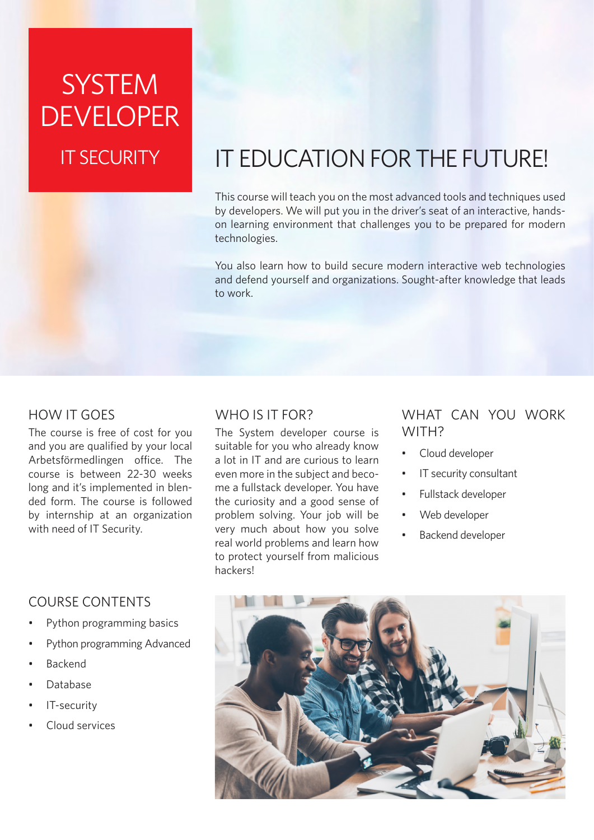# **SYSTEM** DEVELOPER IT SECURITY

## IT EDUCATION FOR THE FUTURE!

This course will teach you on the most advanced tools and techniques used by developers. We will put you in the driver's seat of an interactive, handson learning environment that challenges you to be prepared for modern technologies.

You also learn how to build secure modern interactive web technologies and defend yourself and organizations. Sought-after knowledge that leads to work.

## HOW IT GOES

The course is free of cost for you and you are qualified by your local Arbetsförmedlingen office. The course is between 22-30 weeks long and it's implemented in blended form. The course is followed by internship at an organization with need of IT Security.

## COURSE CONTENTS

- Python programming basics
- Python programming Advanced
- Backend
- Database
- IT-security
- Cloud services

## WHO IS IT FOR?

The System developer course is suitable for you who already know a lot in IT and are curious to learn even more in the subject and become a fullstack developer. You have the curiosity and a good sense of problem solving. Your job will be very much about how you solve real world problems and learn how to protect yourself from malicious hackers!

## WHAT CAN YOU WORK WITH?

- Cloud developer
- IT security consultant
- Fullstack developer
- Web developer
- Backend developer